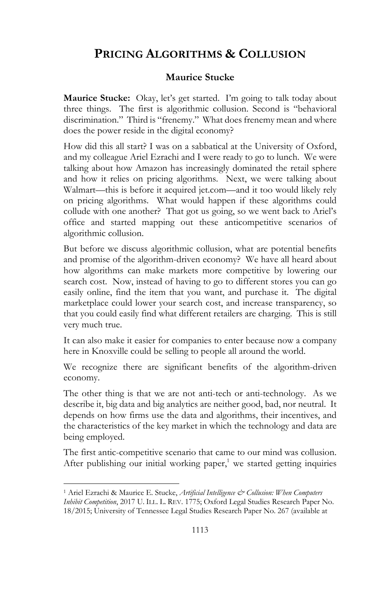# **PRICING ALGORITHMS & COLLUSION**

# **Maurice Stucke**

**Maurice Stucke:** Okay, let's get started. I'm going to talk today about three things. The first is algorithmic collusion. Second is "behavioral discrimination." Third is "frenemy." What does frenemy mean and where does the power reside in the digital economy?

How did this all start? I was on a sabbatical at the University of Oxford, and my colleague Ariel Ezrachi and I were ready to go to lunch. We were talking about how Amazon has increasingly dominated the retail sphere and how it relies on pricing algorithms. Next, we were talking about Walmart—this is before it acquired jet.com—and it too would likely rely on pricing algorithms. What would happen if these algorithms could collude with one another? That got us going, so we went back to Ariel's office and started mapping out these anticompetitive scenarios of algorithmic collusion.

But before we discuss algorithmic collusion, what are potential benefits and promise of the algorithm-driven economy? We have all heard about how algorithms can make markets more competitive by lowering our search cost. Now, instead of having to go to different stores you can go easily online, find the item that you want, and purchase it. The digital marketplace could lower your search cost, and increase transparency, so that you could easily find what different retailers are charging. This is still very much true.

It can also make it easier for companies to enter because now a company here in Knoxville could be selling to people all around the world.

We recognize there are significant benefits of the algorithm-driven economy.

The other thing is that we are not anti-tech or anti-technology. As we describe it, big data and big analytics are neither good, bad, nor neutral. It depends on how firms use the data and algorithms, their incentives, and the characteristics of the key market in which the technology and data are being employed.

The first antic-competitive scenario that came to our mind was collusion. After publishing our initial working paper, <sup>1</sup> we started getting inquiries

<sup>1</sup> Ariel Ezrachi & Maurice E. Stucke, *Artificial Intelligence & Collusion: When Computers Inhibit Competition*, 2017 U. ILL. L. REV. 1775; Oxford Legal Studies Research Paper No. 18/2015; University of Tennessee Legal Studies Research Paper No. 267 (available at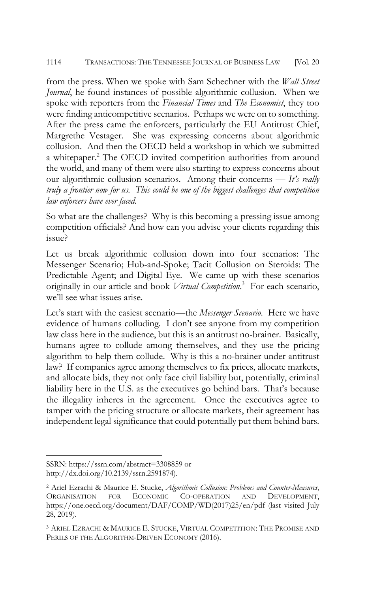from the press. When we spoke with Sam Schechner with the *Wall Street Journal*, he found instances of possible algorithmic collusion. When we spoke with reporters from the *Financial Times* and *The Economist*, they too were finding anticompetitive scenarios. Perhaps we were on to something. After the press came the enforcers, particularly the EU Antitrust Chief, Margrethe Vestager. She was expressing concerns about algorithmic collusion. And then the OECD held a workshop in which we submitted a whitepaper. <sup>2</sup> The OECD invited competition authorities from around the world, and many of them were also starting to express concerns about our algorithmic collusion scenarios. Among their concerns — *It's really truly a frontier now for us. This could be one of the biggest challenges that competition law enforcers have ever faced.*

So what are the challenges? Why is this becoming a pressing issue among competition officials? And how can you advise your clients regarding this issue?

Let us break algorithmic collusion down into four scenarios: The Messenger Scenario; Hub-and-Spoke; Tacit Collusion on Steroids: The Predictable Agent; and Digital Eye. We came up with these scenarios originally in our article and book *Virtual Competition*. 3 For each scenario, we'll see what issues arise.

Let's start with the easiest scenario—the *Messenger Scenario*. Here we have evidence of humans colluding. I don't see anyone from my competition law class here in the audience, but this is an antitrust no-brainer. Basically, humans agree to collude among themselves, and they use the pricing algorithm to help them collude. Why is this a no-brainer under antitrust law? If companies agree among themselves to fix prices, allocate markets, and allocate bids, they not only face civil liability but, potentially, criminal liability here in the U.S. as the executives go behind bars. That's because the illegality inheres in the agreement. Once the executives agree to tamper with the pricing structure or allocate markets, their agreement has independent legal significance that could potentially put them behind bars.

SSRN: https://ssrn.com/abstract=3308859 or http://dx.doi.org/10.2139/ssrn.2591874).

<sup>2</sup> Ariel Ezrachi & Maurice E. Stucke, *Algorithmic Collusion: Problems and Counter-Measures*, ORGANISATION FOR ECONOMIC CO-OPERATION AND DEVELOPMENT, https://one.oecd.org/document/DAF/COMP/WD(2017)25/en/pdf (last visited July 28, 2019).

<sup>3</sup> ARIEL EZRACHI & MAURICE E. STUCKE, VIRTUAL COMPETITION: THE PROMISE AND PERILS OF THE ALGORITHM-DRIVEN ECONOMY (2016).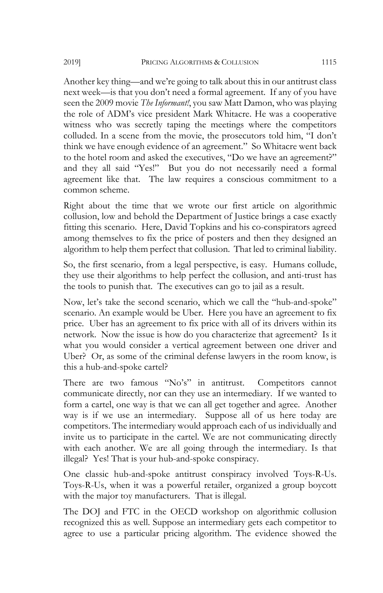Another key thing—and we're going to talk about this in our antitrust class next week—is that you don't need a formal agreement. If any of you have seen the 2009 movie *The Informant!*, you saw Matt Damon, who was playing the role of ADM's vice president Mark Whitacre. He was a cooperative witness who was secretly taping the meetings where the competitors colluded. In a scene from the movie, the prosecutors told him, "I don't think we have enough evidence of an agreement." So Whitacre went back to the hotel room and asked the executives, "Do we have an agreement?" and they all said "Yes!" But you do not necessarily need a formal agreement like that. The law requires a conscious commitment to a common scheme.

Right about the time that we wrote our first article on algorithmic collusion, low and behold the Department of Justice brings a case exactly fitting this scenario. Here, David Topkins and his co-conspirators agreed among themselves to fix the price of posters and then they designed an algorithm to help them perfect that collusion. That led to criminal liability.

So, the first scenario, from a legal perspective, is easy. Humans collude, they use their algorithms to help perfect the collusion, and anti-trust has the tools to punish that. The executives can go to jail as a result.

Now, let's take the second scenario, which we call the "hub-and-spoke" scenario. An example would be Uber. Here you have an agreement to fix price. Uber has an agreement to fix price with all of its drivers within its network. Now the issue is how do you characterize that agreement? Is it what you would consider a vertical agreement between one driver and Uber? Or, as some of the criminal defense lawyers in the room know, is this a hub-and-spoke cartel?

There are two famous "No's" in antitrust. Competitors cannot communicate directly, nor can they use an intermediary. If we wanted to form a cartel, one way is that we can all get together and agree. Another way is if we use an intermediary. Suppose all of us here today are competitors. The intermediary would approach each of us individually and invite us to participate in the cartel. We are not communicating directly with each another. We are all going through the intermediary. Is that illegal? Yes! That is your hub-and-spoke conspiracy.

One classic hub-and-spoke antitrust conspiracy involved Toys-R-Us. Toys-R-Us, when it was a powerful retailer, organized a group boycott with the major toy manufacturers. That is illegal.

The DOJ and FTC in the OECD workshop on algorithmic collusion recognized this as well. Suppose an intermediary gets each competitor to agree to use a particular pricing algorithm. The evidence showed the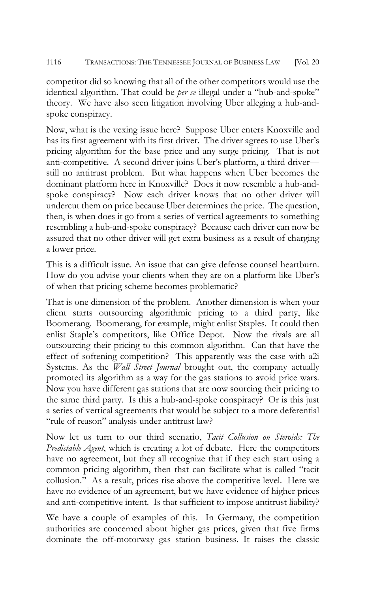competitor did so knowing that all of the other competitors would use the identical algorithm. That could be *per se* illegal under a "hub-and-spoke" theory. We have also seen litigation involving Uber alleging a hub-andspoke conspiracy.

Now, what is the vexing issue here? Suppose Uber enters Knoxville and has its first agreement with its first driver. The driver agrees to use Uber's pricing algorithm for the base price and any surge pricing. That is not anti-competitive. A second driver joins Uber's platform, a third driver still no antitrust problem. But what happens when Uber becomes the dominant platform here in Knoxville? Does it now resemble a hub-andspoke conspiracy? Now each driver knows that no other driver will undercut them on price because Uber determines the price. The question, then, is when does it go from a series of vertical agreements to something resembling a hub-and-spoke conspiracy? Because each driver can now be assured that no other driver will get extra business as a result of charging a lower price.

This is a difficult issue. An issue that can give defense counsel heartburn. How do you advise your clients when they are on a platform like Uber's of when that pricing scheme becomes problematic?

That is one dimension of the problem. Another dimension is when your client starts outsourcing algorithmic pricing to a third party, like Boomerang. Boomerang, for example, might enlist Staples. It could then enlist Staple's competitors, like Office Depot. Now the rivals are all outsourcing their pricing to this common algorithm. Can that have the effect of softening competition? This apparently was the case with a2i Systems. As the *Wall Street Journal* brought out, the company actually promoted its algorithm as a way for the gas stations to avoid price wars. Now you have different gas stations that are now sourcing their pricing to the same third party. Is this a hub-and-spoke conspiracy? Or is this just a series of vertical agreements that would be subject to a more deferential "rule of reason" analysis under antitrust law?

Now let us turn to our third scenario, *Tacit Collusion on Steroids: The Predictable Agent*, which is creating a lot of debate. Here the competitors have no agreement, but they all recognize that if they each start using a common pricing algorithm, then that can facilitate what is called "tacit collusion." As a result, prices rise above the competitive level. Here we have no evidence of an agreement, but we have evidence of higher prices and anti-competitive intent. Is that sufficient to impose antitrust liability?

We have a couple of examples of this. In Germany, the competition authorities are concerned about higher gas prices, given that five firms dominate the off-motorway gas station business. It raises the classic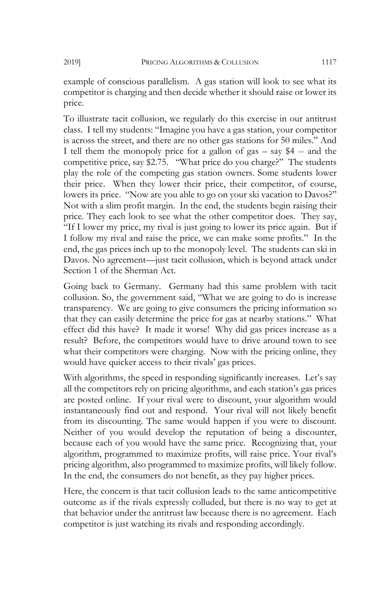example of conscious parallelism. A gas station will look to see what its competitor is charging and then decide whether it should raise or lower its price.

To illustrate tacit collusion, we regularly do this exercise in our antitrust class. I tell my students: "Imagine you have a gas station, your competitor is across the street, and there are no other gas stations for 50 miles." And I tell them the monopoly price for a gallon of gas – say \$4 -- and the competitive price, say \$2.75. "What price do you charge?" The students play the role of the competing gas station owners. Some students lower their price. When they lower their price, their competitor, of course, lowers its price. "Now are you able to go on your ski vacation to Davos?" Not with a slim profit margin. In the end, the students begin raising their price. They each look to see what the other competitor does. They say, "If I lower my price, my rival is just going to lower its price again. But if I follow my rival and raise the price, we can make some profits." In the end, the gas prices inch up to the monopoly level. The students can ski in Davos. No agreement—just tacit collusion, which is beyond attack under Section 1 of the Sherman Act.

Going back to Germany. Germany had this same problem with tacit collusion. So, the government said, "What we are going to do is increase transparency. We are going to give consumers the pricing information so that they can easily determine the price for gas at nearby stations." What effect did this have? It made it worse! Why did gas prices increase as a result? Before, the competitors would have to drive around town to see what their competitors were charging. Now with the pricing online, they would have quicker access to their rivals' gas prices.

With algorithms, the speed in responding significantly increases. Let's say all the competitors rely on pricing algorithms, and each station's gas prices are posted online. If your rival were to discount, your algorithm would instantaneously find out and respond. Your rival will not likely benefit from its discounting. The same would happen if you were to discount. Neither of you would develop the reputation of being a discounter, because each of you would have the same price. Recognizing that, your algorithm, programmed to maximize profits, will raise price. Your rival's pricing algorithm, also programmed to maximize profits, will likely follow. In the end, the consumers do not benefit, as they pay higher prices.

Here, the concern is that tacit collusion leads to the same anticompetitive outcome as if the rivals expressly colluded, but there is no way to get at that behavior under the antitrust law because there is no agreement. Each competitor is just watching its rivals and responding accordingly.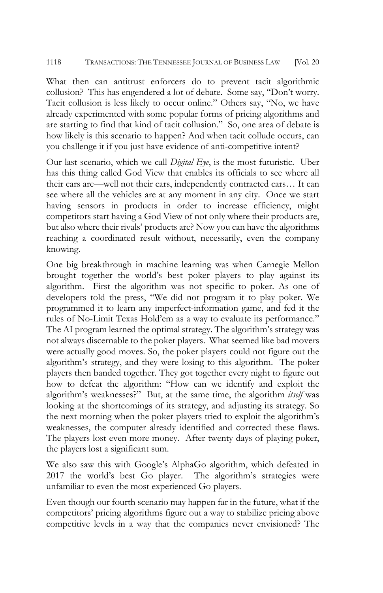What then can antitrust enforcers do to prevent tacit algorithmic collusion? This has engendered a lot of debate. Some say, "Don't worry. Tacit collusion is less likely to occur online." Others say, "No, we have already experimented with some popular forms of pricing algorithms and are starting to find that kind of tacit collusion." So, one area of debate is how likely is this scenario to happen? And when tacit collude occurs, can you challenge it if you just have evidence of anti-competitive intent?

Our last scenario, which we call *Digital Eye*, is the most futuristic. Uber has this thing called God View that enables its officials to see where all their cars are—well not their cars, independently contracted cars… It can see where all the vehicles are at any moment in any city. Once we start having sensors in products in order to increase efficiency, might competitors start having a God View of not only where their products are, but also where their rivals' products are? Now you can have the algorithms reaching a coordinated result without, necessarily, even the company knowing.

One big breakthrough in machine learning was when Carnegie Mellon brought together the world's best poker players to play against its algorithm. First the algorithm was not specific to poker. As one of developers told the press, "We did not program it to play poker. We programmed it to learn any imperfect-information game, and fed it the rules of No-Limit Texas Hold'em as a way to evaluate its performance." The AI program learned the optimal strategy. The algorithm's strategy was not always discernable to the poker players. What seemed like bad movers were actually good moves. So, the poker players could not figure out the algorithm's strategy, and they were losing to this algorithm. The poker players then banded together. They got together every night to figure out how to defeat the algorithm: "How can we identify and exploit the algorithm's weaknesses?" But, at the same time, the algorithm *itself* was looking at the shortcomings of its strategy, and adjusting its strategy. So the next morning when the poker players tried to exploit the algorithm's weaknesses, the computer already identified and corrected these flaws. The players lost even more money. After twenty days of playing poker, the players lost a significant sum.

We also saw this with Google's AlphaGo algorithm, which defeated in 2017 the world's best Go player. The algorithm's strategies were unfamiliar to even the most experienced Go players.

Even though our fourth scenario may happen far in the future, what if the competitors' pricing algorithms figure out a way to stabilize pricing above competitive levels in a way that the companies never envisioned? The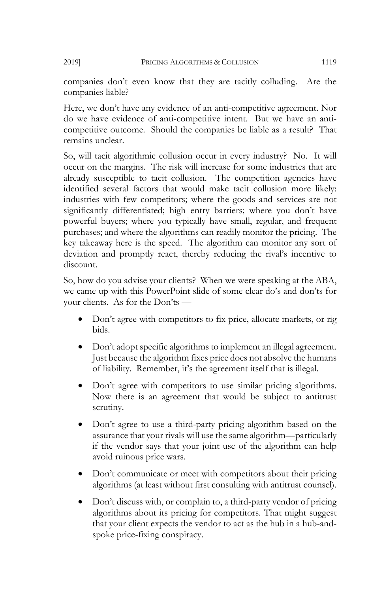companies don't even know that they are tacitly colluding. Are the companies liable?

Here, we don't have any evidence of an anti-competitive agreement. Nor do we have evidence of anti-competitive intent. But we have an anticompetitive outcome. Should the companies be liable as a result? That remains unclear.

So, will tacit algorithmic collusion occur in every industry? No. It will occur on the margins. The risk will increase for some industries that are already susceptible to tacit collusion. The competition agencies have identified several factors that would make tacit collusion more likely: industries with few competitors; where the goods and services are not significantly differentiated; high entry barriers; where you don't have powerful buyers; where you typically have small, regular, and frequent purchases; and where the algorithms can readily monitor the pricing. The key takeaway here is the speed. The algorithm can monitor any sort of deviation and promptly react, thereby reducing the rival's incentive to discount.

So, how do you advise your clients? When we were speaking at the ABA, we came up with this PowerPoint slide of some clear do's and don'ts for your clients. As for the Don'ts —

- Don't agree with competitors to fix price, allocate markets, or rig bids.
- Don't adopt specific algorithms to implement an illegal agreement. Just because the algorithm fixes price does not absolve the humans of liability. Remember, it's the agreement itself that is illegal.
- Don't agree with competitors to use similar pricing algorithms. Now there is an agreement that would be subject to antitrust scrutiny.
- Don't agree to use a third-party pricing algorithm based on the assurance that your rivals will use the same algorithm—particularly if the vendor says that your joint use of the algorithm can help avoid ruinous price wars.
- Don't communicate or meet with competitors about their pricing algorithms (at least without first consulting with antitrust counsel).
- Don't discuss with, or complain to, a third-party vendor of pricing algorithms about its pricing for competitors. That might suggest that your client expects the vendor to act as the hub in a hub-andspoke price-fixing conspiracy.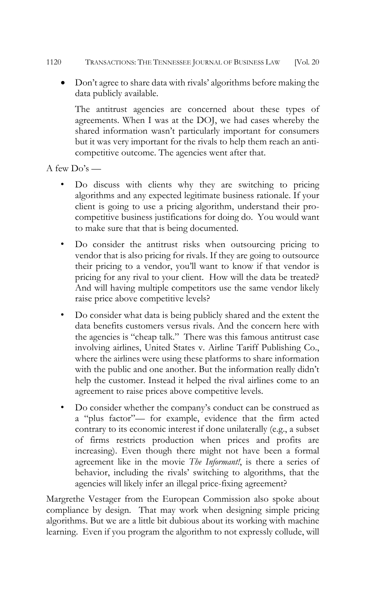• Don't agree to share data with rivals' algorithms before making the data publicly available.

The antitrust agencies are concerned about these types of agreements. When I was at the DOJ, we had cases whereby the shared information wasn't particularly important for consumers but it was very important for the rivals to help them reach an anticompetitive outcome. The agencies went after that.

A few  $Do's$  —

- Do discuss with clients why they are switching to pricing algorithms and any expected legitimate business rationale. If your client is going to use a pricing algorithm, understand their procompetitive business justifications for doing do. You would want to make sure that that is being documented.
- Do consider the antitrust risks when outsourcing pricing to vendor that is also pricing for rivals. If they are going to outsource their pricing to a vendor, you'll want to know if that vendor is pricing for any rival to your client. How will the data be treated? And will having multiple competitors use the same vendor likely raise price above competitive levels?
- Do consider what data is being publicly shared and the extent the data benefits customers versus rivals. And the concern here with the agencies is "cheap talk." There was this famous antitrust case involving airlines, United States v. Airline Tariff Publishing Co., where the airlines were using these platforms to share information with the public and one another. But the information really didn't help the customer. Instead it helped the rival airlines come to an agreement to raise prices above competitive levels.
- Do consider whether the company's conduct can be construed as a "plus factor"— for example, evidence that the firm acted contrary to its economic interest if done unilaterally (e.g., a subset of firms restricts production when prices and profits are increasing). Even though there might not have been a formal agreement like in the movie *The Informant!*, is there a series of behavior, including the rivals' switching to algorithms, that the agencies will likely infer an illegal price-fixing agreement?

Margrethe Vestager from the European Commission also spoke about compliance by design. That may work when designing simple pricing algorithms. But we are a little bit dubious about its working with machine learning. Even if you program the algorithm to not expressly collude, will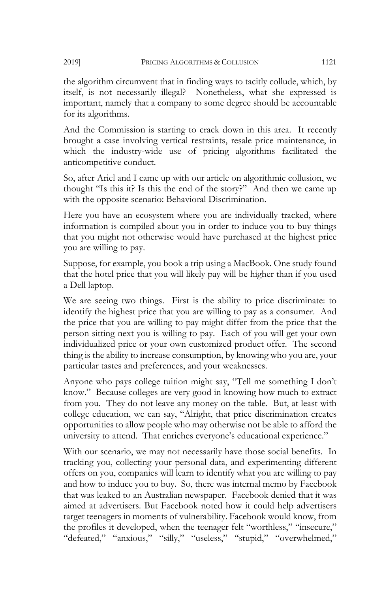the algorithm circumvent that in finding ways to tacitly collude, which, by itself, is not necessarily illegal? Nonetheless, what she expressed is important, namely that a company to some degree should be accountable for its algorithms.

And the Commission is starting to crack down in this area. It recently brought a case involving vertical restraints, resale price maintenance, in which the industry-wide use of pricing algorithms facilitated the anticompetitive conduct.

So, after Ariel and I came up with our article on algorithmic collusion, we thought "Is this it? Is this the end of the story?" And then we came up with the opposite scenario: Behavioral Discrimination.

Here you have an ecosystem where you are individually tracked, where information is compiled about you in order to induce you to buy things that you might not otherwise would have purchased at the highest price you are willing to pay.

Suppose, for example, you book a trip using a MacBook. One study found that the hotel price that you will likely pay will be higher than if you used a Dell laptop.

We are seeing two things. First is the ability to price discriminate: to identify the highest price that you are willing to pay as a consumer. And the price that you are willing to pay might differ from the price that the person sitting next you is willing to pay. Each of you will get your own individualized price or your own customized product offer. The second thing is the ability to increase consumption, by knowing who you are, your particular tastes and preferences, and your weaknesses.

Anyone who pays college tuition might say, "Tell me something I don't know." Because colleges are very good in knowing how much to extract from you. They do not leave any money on the table. But, at least with college education, we can say, "Alright, that price discrimination creates opportunities to allow people who may otherwise not be able to afford the university to attend. That enriches everyone's educational experience."

With our scenario, we may not necessarily have those social benefits. In tracking you, collecting your personal data, and experimenting different offers on you, companies will learn to identify what you are willing to pay and how to induce you to buy. So, there was internal memo by Facebook that was leaked to an Australian newspaper. Facebook denied that it was aimed at advertisers. But Facebook noted how it could help advertisers target teenagers in moments of vulnerability. Facebook would know, from the profiles it developed, when the teenager felt "worthless," "insecure," "defeated," "anxious," "silly," "useless," "stupid," "overwhelmed,"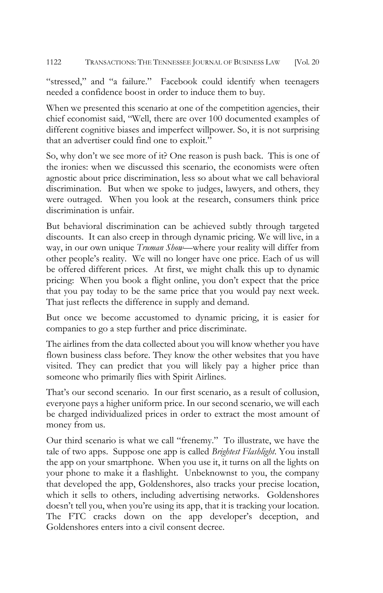"stressed," and "a failure." Facebook could identify when teenagers needed a confidence boost in order to induce them to buy.

When we presented this scenario at one of the competition agencies, their chief economist said, "Well, there are over 100 documented examples of different cognitive biases and imperfect willpower. So, it is not surprising that an advertiser could find one to exploit."

So, why don't we see more of it? One reason is push back. This is one of the ironies: when we discussed this scenario, the economists were often agnostic about price discrimination, less so about what we call behavioral discrimination. But when we spoke to judges, lawyers, and others, they were outraged. When you look at the research, consumers think price discrimination is unfair.

But behavioral discrimination can be achieved subtly through targeted discounts. It can also creep in through dynamic pricing. We will live, in a way, in our own unique *Truman Show*—where your reality will differ from other people's reality. We will no longer have one price. Each of us will be offered different prices. At first, we might chalk this up to dynamic pricing: When you book a flight online, you don't expect that the price that you pay today to be the same price that you would pay next week. That just reflects the difference in supply and demand.

But once we become accustomed to dynamic pricing, it is easier for companies to go a step further and price discriminate.

The airlines from the data collected about you will know whether you have flown business class before. They know the other websites that you have visited. They can predict that you will likely pay a higher price than someone who primarily flies with Spirit Airlines.

That's our second scenario. In our first scenario, as a result of collusion, everyone pays a higher uniform price. In our second scenario, we will each be charged individualized prices in order to extract the most amount of money from us.

Our third scenario is what we call "frenemy." To illustrate, we have the tale of two apps. Suppose one app is called *Brightest Flashlight*. You install the app on your smartphone. When you use it, it turns on all the lights on your phone to make it a flashlight. Unbeknownst to you, the company that developed the app, Goldenshores, also tracks your precise location, which it sells to others, including advertising networks. Goldenshores doesn't tell you, when you're using its app, that it is tracking your location. The FTC cracks down on the app developer's deception, and Goldenshores enters into a civil consent decree.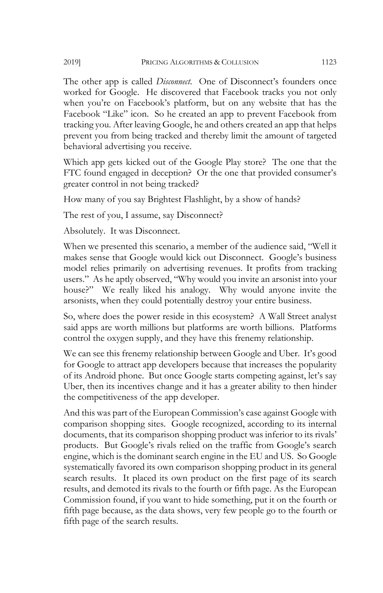The other app is called *Disconnect*. One of Disconnect's founders once worked for Google. He discovered that Facebook tracks you not only when you're on Facebook's platform, but on any website that has the Facebook "Like" icon. So he created an app to prevent Facebook from tracking you. After leaving Google, he and others created an app that helps prevent you from being tracked and thereby limit the amount of targeted behavioral advertising you receive.

Which app gets kicked out of the Google Play store? The one that the FTC found engaged in deception? Or the one that provided consumer's greater control in not being tracked?

How many of you say Brightest Flashlight, by a show of hands?

The rest of you, I assume, say Disconnect?

Absolutely. It was Disconnect.

When we presented this scenario, a member of the audience said, "Well it makes sense that Google would kick out Disconnect. Google's business model relies primarily on advertising revenues. It profits from tracking users." As he aptly observed, "Why would you invite an arsonist into your house?" We really liked his analogy. Why would anyone invite the arsonists, when they could potentially destroy your entire business.

So, where does the power reside in this ecosystem? A Wall Street analyst said apps are worth millions but platforms are worth billions. Platforms control the oxygen supply, and they have this frenemy relationship.

We can see this frenemy relationship between Google and Uber. It's good for Google to attract app developers because that increases the popularity of its Android phone. But once Google starts competing against, let's say Uber, then its incentives change and it has a greater ability to then hinder the competitiveness of the app developer.

And this was part of the European Commission's case against Google with comparison shopping sites. Google recognized, according to its internal documents, that its comparison shopping product was inferior to its rivals' products. But Google's rivals relied on the traffic from Google's search engine, which is the dominant search engine in the EU and US. So Google systematically favored its own comparison shopping product in its general search results. It placed its own product on the first page of its search results, and demoted its rivals to the fourth or fifth page. As the European Commission found, if you want to hide something, put it on the fourth or fifth page because, as the data shows, very few people go to the fourth or fifth page of the search results.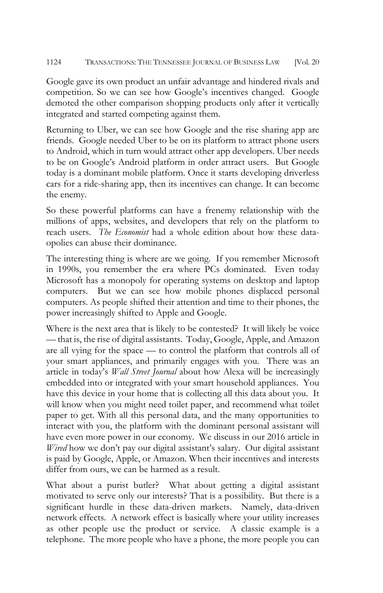Google gave its own product an unfair advantage and hindered rivals and competition. So we can see how Google's incentives changed. Google demoted the other comparison shopping products only after it vertically integrated and started competing against them.

Returning to Uber, we can see how Google and the rise sharing app are friends. Google needed Uber to be on its platform to attract phone users to Android, which in turn would attract other app developers. Uber needs to be on Google's Android platform in order attract users. But Google today is a dominant mobile platform. Once it starts developing driverless cars for a ride-sharing app, then its incentives can change. It can become the enemy.

So these powerful platforms can have a frenemy relationship with the millions of apps, websites, and developers that rely on the platform to reach users. *The Economist* had a whole edition about how these dataopolies can abuse their dominance.

The interesting thing is where are we going. If you remember Microsoft in 1990s, you remember the era where PCs dominated. Even today Microsoft has a monopoly for operating systems on desktop and laptop computers. But we can see how mobile phones displaced personal computers. As people shifted their attention and time to their phones, the power increasingly shifted to Apple and Google.

Where is the next area that is likely to be contested? It will likely be voice — that is, the rise of digital assistants. Today, Google, Apple, and Amazon are all vying for the space — to control the platform that controls all of your smart appliances, and primarily engages with you. There was an article in today's *Wall Street Journal* about how Alexa will be increasingly embedded into or integrated with your smart household appliances. You have this device in your home that is collecting all this data about you. It will know when you might need toilet paper, and recommend what toilet paper to get. With all this personal data, and the many opportunities to interact with you, the platform with the dominant personal assistant will have even more power in our economy. We discuss in our 2016 article in *Wired* how we don't pay our digital assistant's salary. Our digital assistant is paid by Google, Apple, or Amazon. When their incentives and interests differ from ours, we can be harmed as a result.

What about a purist butler? What about getting a digital assistant motivated to serve only our interests? That is a possibility. But there is a significant hurdle in these data-driven markets. Namely, data-driven network effects. A network effect is basically where your utility increases as other people use the product or service. A classic example is a telephone. The more people who have a phone, the more people you can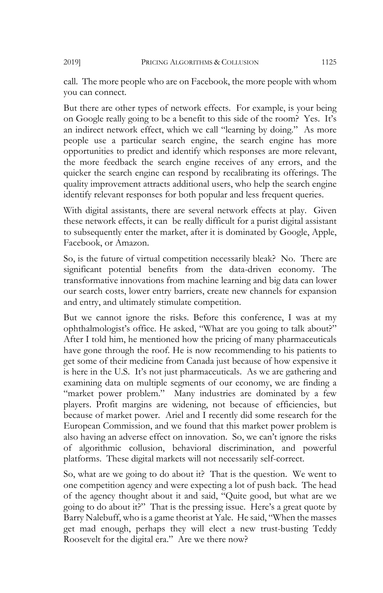call. The more people who are on Facebook, the more people with whom you can connect.

But there are other types of network effects. For example, is your being on Google really going to be a benefit to this side of the room? Yes. It's an indirect network effect, which we call "learning by doing." As more people use a particular search engine, the search engine has more opportunities to predict and identify which responses are more relevant, the more feedback the search engine receives of any errors, and the quicker the search engine can respond by recalibrating its offerings. The quality improvement attracts additional users, who help the search engine identify relevant responses for both popular and less frequent queries.

With digital assistants, there are several network effects at play. Given these network effects, it can be really difficult for a purist digital assistant to subsequently enter the market, after it is dominated by Google, Apple, Facebook, or Amazon.

So, is the future of virtual competition necessarily bleak? No. There are significant potential benefits from the data-driven economy. The transformative innovations from machine learning and big data can lower our search costs, lower entry barriers, create new channels for expansion and entry, and ultimately stimulate competition.

But we cannot ignore the risks. Before this conference, I was at my ophthalmologist's office. He asked, "What are you going to talk about?" After I told him, he mentioned how the pricing of many pharmaceuticals have gone through the roof. He is now recommending to his patients to get some of their medicine from Canada just because of how expensive it is here in the U.S. It's not just pharmaceuticals. As we are gathering and examining data on multiple segments of our economy, we are finding a "market power problem." Many industries are dominated by a few players. Profit margins are widening, not because of efficiencies, but because of market power. Ariel and I recently did some research for the European Commission, and we found that this market power problem is also having an adverse effect on innovation. So, we can't ignore the risks of algorithmic collusion, behavioral discrimination, and powerful platforms. These digital markets will not necessarily self-correct.

So, what are we going to do about it? That is the question. We went to one competition agency and were expecting a lot of push back. The head of the agency thought about it and said, "Quite good, but what are we going to do about it?" That is the pressing issue. Here's a great quote by Barry Nalebuff, who is a game theorist at Yale. He said, "When the masses get mad enough, perhaps they will elect a new trust-busting Teddy Roosevelt for the digital era." Are we there now?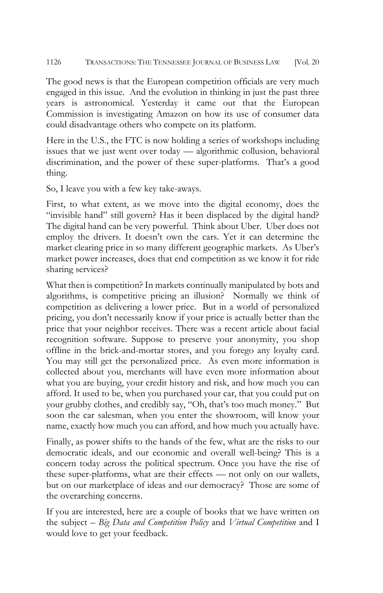The good news is that the European competition officials are very much engaged in this issue. And the evolution in thinking in just the past three years is astronomical. Yesterday it came out that the European Commission is investigating Amazon on how its use of consumer data could disadvantage others who compete on its platform.

Here in the U.S., the FTC is now holding a series of workshops including issues that we just went over today — algorithmic collusion, behavioral discrimination, and the power of these super-platforms. That's a good thing.

So, I leave you with a few key take-aways.

First, to what extent, as we move into the digital economy, does the "invisible hand" still govern? Has it been displaced by the digital hand? The digital hand can be very powerful. Think about Uber. Uber does not employ the drivers. It doesn't own the cars. Yet it can determine the market clearing price in so many different geographic markets. As Uber's market power increases, does that end competition as we know it for ride sharing services?

What then is competition? In markets continually manipulated by bots and algorithms, is competitive pricing an illusion? Normally we think of competition as delivering a lower price. But in a world of personalized pricing, you don't necessarily know if your price is actually better than the price that your neighbor receives. There was a recent article about facial recognition software. Suppose to preserve your anonymity, you shop offline in the brick-and-mortar stores, and you forego any loyalty card. You may still get the personalized price. As even more information is collected about you, merchants will have even more information about what you are buying, your credit history and risk, and how much you can afford. It used to be, when you purchased your car, that you could put on your grubby clothes, and credibly say, "Oh, that's too much money." But soon the car salesman, when you enter the showroom, will know your name, exactly how much you can afford, and how much you actually have.

Finally, as power shifts to the hands of the few, what are the risks to our democratic ideals, and our economic and overall well-being? This is a concern today across the political spectrum. Once you have the rise of these super-platforms, what are their effects — not only on our wallets, but on our marketplace of ideas and our democracy? Those are some of the overarching concerns.

If you are interested, here are a couple of books that we have written on the subject – *Big Data and Competition Policy* and *Virtual Competition* and I would love to get your feedback.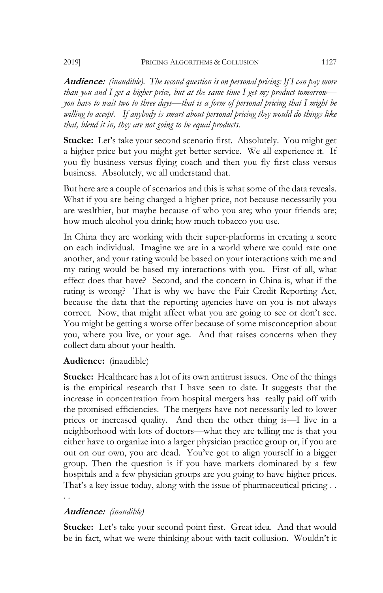**Audience:** *(inaudible). The second question is on personal pricing: If I can pay more than you and I get a higher price, but at the same time I get my product tomorrow you have to wait two to three days—that is a form of personal pricing that I might be willing to accept. If anybody is smart about personal pricing they would do things like that, blend it in, they are not going to be equal products.*

**Stucke:** Let's take your second scenario first. Absolutely. You might get a higher price but you might get better service. We all experience it. If you fly business versus flying coach and then you fly first class versus business. Absolutely, we all understand that.

But here are a couple of scenarios and this is what some of the data reveals. What if you are being charged a higher price, not because necessarily you are wealthier, but maybe because of who you are; who your friends are; how much alcohol you drink; how much tobacco you use.

In China they are working with their super-platforms in creating a score on each individual. Imagine we are in a world where we could rate one another, and your rating would be based on your interactions with me and my rating would be based my interactions with you. First of all, what effect does that have? Second, and the concern in China is, what if the rating is wrong? That is why we have the Fair Credit Reporting Act, because the data that the reporting agencies have on you is not always correct. Now, that might affect what you are going to see or don't see. You might be getting a worse offer because of some misconception about you, where you live, or your age. And that raises concerns when they collect data about your health.

## **Audience:** (inaudible)

**Stucke:** Healthcare has a lot of its own antitrust issues. One of the things is the empirical research that I have seen to date. It suggests that the increase in concentration from hospital mergers has really paid off with the promised efficiencies. The mergers have not necessarily led to lower prices or increased quality. And then the other thing is*—*I live in a neighborhood with lots of doctors*—*what they are telling me is that you either have to organize into a larger physician practice group or, if you are out on our own, you are dead. You've got to align yourself in a bigger group. Then the question is if you have markets dominated by a few hospitals and a few physician groups are you going to have higher prices. That's a key issue today, along with the issue of pharmaceutical pricing . .

. .

## **Audience:** *(inaudible)*

**Stucke:** Let's take your second point first. Great idea. And that would be in fact, what we were thinking about with tacit collusion. Wouldn't it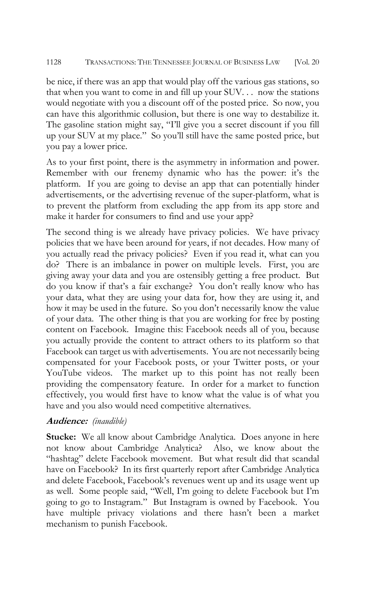be nice, if there was an app that would play off the various gas stations, so that when you want to come in and fill up your SUV. . . now the stations would negotiate with you a discount off of the posted price. So now, you can have this algorithmic collusion, but there is one way to destabilize it. The gasoline station might say, "I'll give you a secret discount if you fill up your SUV at my place." So you'll still have the same posted price, but you pay a lower price.

As to your first point, there is the asymmetry in information and power. Remember with our frenemy dynamic who has the power: it's the platform. If you are going to devise an app that can potentially hinder advertisements, or the advertising revenue of the super-platform, what is to prevent the platform from excluding the app from its app store and make it harder for consumers to find and use your app?

The second thing is we already have privacy policies. We have privacy policies that we have been around for years, if not decades. How many of you actually read the privacy policies? Even if you read it, what can you do? There is an imbalance in power on multiple levels. First, you are giving away your data and you are ostensibly getting a free product. But do you know if that's a fair exchange? You don't really know who has your data, what they are using your data for, how they are using it, and how it may be used in the future. So you don't necessarily know the value of your data. The other thing is that you are working for free by posting content on Facebook. Imagine this: Facebook needs all of you, because you actually provide the content to attract others to its platform so that Facebook can target us with advertisements. You are not necessarily being compensated for your Facebook posts, or your Twitter posts, or your YouTube videos. The market up to this point has not really been providing the compensatory feature. In order for a market to function effectively, you would first have to know what the value is of what you have and you also would need competitive alternatives.

## **Audience:** *(inaudible)*

**Stucke:** We all know about Cambridge Analytica. Does anyone in here not know about Cambridge Analytica? Also, we know about the "hashtag" delete Facebook movement. But what result did that scandal have on Facebook? In its first quarterly report after Cambridge Analytica and delete Facebook, Facebook's revenues went up and its usage went up as well. Some people said, "Well, I'm going to delete Facebook but I'm going to go to Instagram." But Instagram is owned by Facebook. You have multiple privacy violations and there hasn't been a market mechanism to punish Facebook.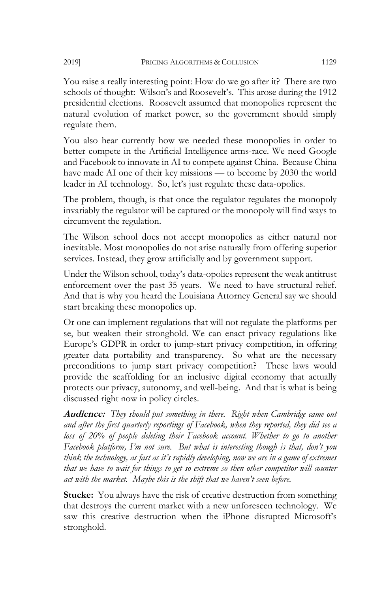You raise a really interesting point: How do we go after it? There are two schools of thought: Wilson's and Roosevelt's. This arose during the 1912 presidential elections. Roosevelt assumed that monopolies represent the natural evolution of market power, so the government should simply regulate them.

You also hear currently how we needed these monopolies in order to better compete in the Artificial Intelligence arms-race. We need Google and Facebook to innovate in AI to compete against China. Because China have made AI one of their key missions — to become by 2030 the world leader in AI technology. So, let's just regulate these data-opolies.

The problem, though, is that once the regulator regulates the monopoly invariably the regulator will be captured or the monopoly will find ways to circumvent the regulation.

The Wilson school does not accept monopolies as either natural nor inevitable. Most monopolies do not arise naturally from offering superior services. Instead, they grow artificially and by government support.

Under the Wilson school, today's data-opolies represent the weak antitrust enforcement over the past 35 years. We need to have structural relief. And that is why you heard the Louisiana Attorney General say we should start breaking these monopolies up.

Or one can implement regulations that will not regulate the platforms per se, but weaken their stronghold. We can enact privacy regulations like Europe's GDPR in order to jump-start privacy competition, in offering greater data portability and transparency. So what are the necessary preconditions to jump start privacy competition? These laws would provide the scaffolding for an inclusive digital economy that actually protects our privacy, autonomy, and well-being. And that is what is being discussed right now in policy circles.

**Audience:** *They should put something in there. Right when Cambridge came out and after the first quarterly reportings of Facebook, when they reported, they did see a loss of 20% of people deleting their Facebook account. Whether to go to another Facebook platform, I'm not sure. But what is interesting though is that, don't you think the technology, as fast as it's rapidly developing, now we are in a game of extremes that we have to wait for things to get so extreme so then other competitor will counter act with the market. Maybe this is the shift that we haven't seen before.*

**Stucke:** You always have the risk of creative destruction from something that destroys the current market with a new unforeseen technology. We saw this creative destruction when the iPhone disrupted Microsoft's stronghold.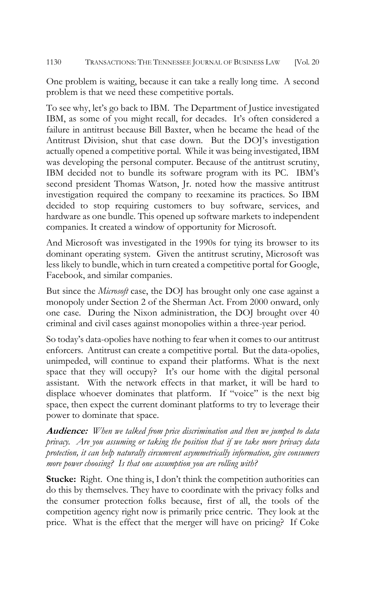One problem is waiting, because it can take a really long time. A second problem is that we need these competitive portals.

To see why, let's go back to IBM. The Department of Justice investigated IBM, as some of you might recall, for decades. It's often considered a failure in antitrust because Bill Baxter, when he became the head of the Antitrust Division, shut that case down. But the DOJ's investigation actually opened a competitive portal. While it was being investigated, IBM was developing the personal computer. Because of the antitrust scrutiny, IBM decided not to bundle its software program with its PC. IBM's second president Thomas Watson, Jr. noted how the massive antitrust investigation required the company to reexamine its practices. So IBM decided to stop requiring customers to buy software, services, and hardware as one bundle. This opened up software markets to independent companies. It created a window of opportunity for Microsoft.

And Microsoft was investigated in the 1990s for tying its browser to its dominant operating system. Given the antitrust scrutiny, Microsoft was less likely to bundle, which in turn created a competitive portal for Google, Facebook, and similar companies.

But since the *Microsoft* case, the DOJ has brought only one case against a monopoly under Section 2 of the Sherman Act. From 2000 onward, only one case. During the Nixon administration, the DOJ brought over 40 criminal and civil cases against monopolies within a three-year period.

So today's data-opolies have nothing to fear when it comes to our antitrust enforcers. Antitrust can create a competitive portal. But the data-opolies, unimpeded, will continue to expand their platforms. What is the next space that they will occupy? It's our home with the digital personal assistant. With the network effects in that market, it will be hard to displace whoever dominates that platform. If "voice" is the next big space, then expect the current dominant platforms to try to leverage their power to dominate that space.

**Audience:** *When we talked from price discrimination and then we jumped to data privacy. Are you assuming or taking the position that if we take more privacy data protection, it can help naturally circumvent asymmetrically information, give consumers more power choosing? Is that one assumption you are rolling with?*

**Stucke:** Right. One thing is, I don't think the competition authorities can do this by themselves. They have to coordinate with the privacy folks and the consumer protection folks because, first of all, the tools of the competition agency right now is primarily price centric. They look at the price. What is the effect that the merger will have on pricing? If Coke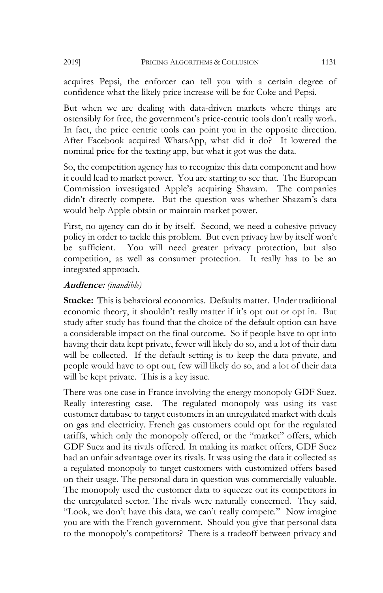acquires Pepsi, the enforcer can tell you with a certain degree of confidence what the likely price increase will be for Coke and Pepsi.

But when we are dealing with data-driven markets where things are ostensibly for free, the government's price-centric tools don't really work. In fact, the price centric tools can point you in the opposite direction. After Facebook acquired WhatsApp, what did it do? It lowered the nominal price for the texting app, but what it got was the data.

So, the competition agency has to recognize this data component and how it could lead to market power. You are starting to see that. The European Commission investigated Apple's acquiring Shazam. The companies didn't directly compete. But the question was whether Shazam's data would help Apple obtain or maintain market power.

First, no agency can do it by itself. Second, we need a cohesive privacy policy in order to tackle this problem. But even privacy law by itself won't be sufficient. You will need greater privacy protection, but also competition, as well as consumer protection. It really has to be an integrated approach.

## **Audience:** *(inaudible)*

**Stucke:** This is behavioral economics. Defaults matter. Under traditional economic theory, it shouldn't really matter if it's opt out or opt in. But study after study has found that the choice of the default option can have a considerable impact on the final outcome. So if people have to opt into having their data kept private, fewer will likely do so, and a lot of their data will be collected. If the default setting is to keep the data private, and people would have to opt out, few will likely do so, and a lot of their data will be kept private. This is a key issue.

There was one case in France involving the energy monopoly GDF Suez. Really interesting case. The regulated monopoly was using its vast customer database to target customers in an unregulated market with deals on gas and electricity. French gas customers could opt for the regulated tariffs, which only the monopoly offered, or the "market" offers, which GDF Suez and its rivals offered. In making its market offers, GDF Suez had an unfair advantage over its rivals. It was using the data it collected as a regulated monopoly to target customers with customized offers based on their usage. The personal data in question was commercially valuable. The monopoly used the customer data to squeeze out its competitors in the unregulated sector. The rivals were naturally concerned. They said, "Look, we don't have this data, we can't really compete." Now imagine you are with the French government. Should you give that personal data to the monopoly's competitors? There is a tradeoff between privacy and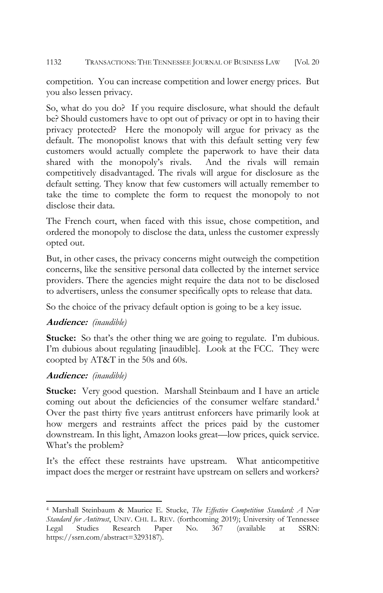competition. You can increase competition and lower energy prices. But you also lessen privacy.

So, what do you do? If you require disclosure, what should the default be? Should customers have to opt out of privacy or opt in to having their privacy protected? Here the monopoly will argue for privacy as the default. The monopolist knows that with this default setting very few customers would actually complete the paperwork to have their data shared with the monopoly's rivals. And the rivals will remain competitively disadvantaged. The rivals will argue for disclosure as the default setting. They know that few customers will actually remember to take the time to complete the form to request the monopoly to not disclose their data.

The French court, when faced with this issue, chose competition, and ordered the monopoly to disclose the data, unless the customer expressly opted out.

But, in other cases, the privacy concerns might outweigh the competition concerns, like the sensitive personal data collected by the internet service providers. There the agencies might require the data not to be disclosed to advertisers, unless the consumer specifically opts to release that data.

So the choice of the privacy default option is going to be a key issue.

## **Audience:** *(inaudible)*

**Stucke:** So that's the other thing we are going to regulate. I'm dubious. I'm dubious about regulating [inaudible]. Look at the FCC. They were coopted by AT&T in the 50s and 60s.

## **Audience:** *(inaudible)*

**Stucke:** Very good question. Marshall Steinbaum and I have an article coming out about the deficiencies of the consumer welfare standard.<sup>4</sup> Over the past thirty five years antitrust enforcers have primarily look at how mergers and restraints affect the prices paid by the customer downstream. In this light, Amazon looks great—low prices, quick service. What's the problem?

It's the effect these restraints have upstream. What anticompetitive impact does the merger or restraint have upstream on sellers and workers?

<sup>4</sup> Marshall Steinbaum & Maurice E. Stucke, *The Effective Competition Standard: A New Standard for Antitrust*, UNIV. CHI. L. REV. (forthcoming 2019); University of Tennessee Legal Studies Research Paper No. 367 (available at SSRN: https://ssrn.com/abstract=3293187).